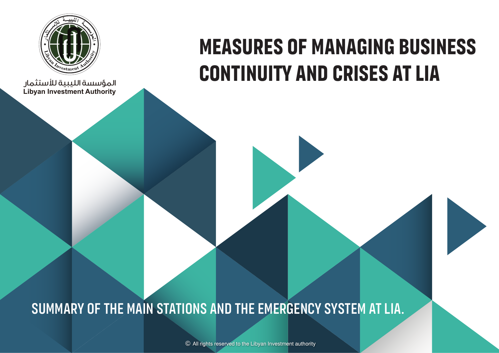

**Libyan Investment Authority** المؤسسة الليبية لستثمار

# **Measures of managing business continuity and crises at LIA**

## Summary of the main stations and the emergency system at LIA.

© All rights reserved to the Libyan Investment authority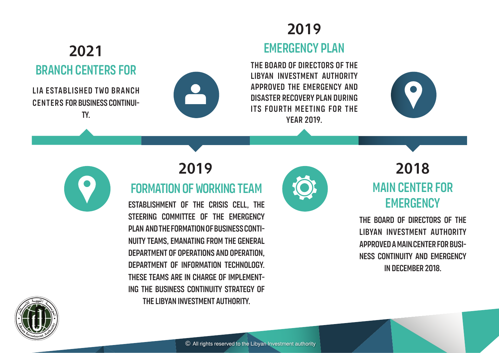#### Branch centers for 2021

LIA ESTABLISHED TWO BRANCH centers for business continuity.



## Emergency plan 2019

The Board of Directors of the Libyan Investment Authority approved the emergency and disaster recovery plan during its fourth meeting for the year 2019.





## 2019

### formation of working team

Establishment of the Crisis Cell, the STEERING COMMITTEE OF THE EMERGENCY Plan and the formation of Business Continuity Teams, emanating from the General Department of Operations and Operation, Department of Information Technology. THESE TEAMS ARE IN CHARGE OF IMPLEMENTing the business continuity strategy of the Libyan Investment Authority.



## Main center for **EMERGENCY** 2018

The Board of Directors of the Libyan Investment Authority approved a main center for busi-. ness continuity and emergency in December 2018.